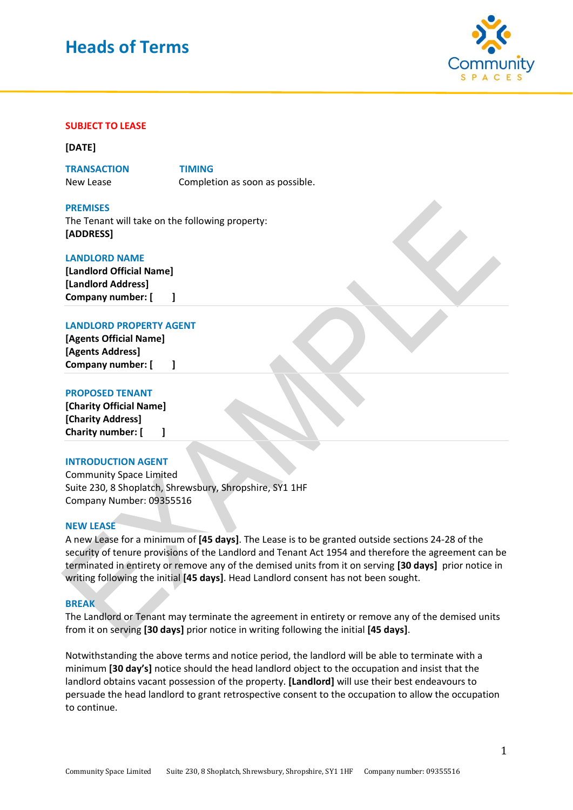# **Heads of Terms**



# **SUBJECT TO LEASE**

#### **[DATE]**

**TRANSACTION TIMING**  New Lease Completion as soon as possible.

**PREMISES** The Tenant will take on the following property: **[ADDRESS]**

# **LANDLORD NAME**

**[Landlord Official Name] [Landlord Address] Company number: [ ]**

# **LANDLORD PROPERTY AGENT**

**[Agents Official Name] [Agents Address] Company number: [ ]**

# **PROPOSED TENANT**

**[Charity Official Name] [Charity Address] Charity number: [ ]**

# **INTRODUCTION AGENT**

Community Space Limited Suite 230, 8 Shoplatch, Shrewsbury, Shropshire, SY1 1HF Company Number: 09355516

## **NEW LEASE**

A new Lease for a minimum of **[45 days]**. The Lease is to be granted outside sections 24-28 of the security of tenure provisions of the Landlord and Tenant Act 1954 and therefore the agreement can be terminated in entirety or remove any of the demised units from it on serving **[30 days]** prior notice in writing following the initial **[45 days]**. Head Landlord consent has not been sought.

#### **BREAK**

The Landlord or Tenant may terminate the agreement in entirety or remove any of the demised units from it on serving **[30 days]** prior notice in writing following the initial **[45 days]**.

Notwithstanding the above terms and notice period, the landlord will be able to terminate with a minimum **[30 day's]** notice should the head landlord object to the occupation and insist that the landlord obtains vacant possession of the property. **[Landlord]** will use their best endeavours to persuade the head landlord to grant retrospective consent to the occupation to allow the occupation to continue.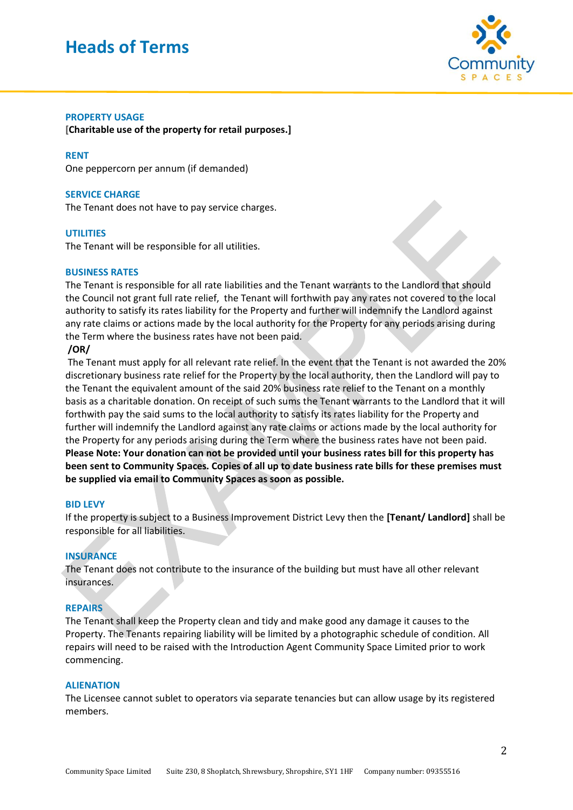# **Heads of Terms**



# **PROPERTY USAGE**

**[Charitable use of the property for retail purposes.]**

### **RENT**

One peppercorn per annum (if demanded)

### **SERVICE CHARGE**

The Tenant does not have to pay service charges.

#### **UTILITIES**

The Tenant will be responsible for all utilities.

#### **BUSINESS RATES**

The Tenant is responsible for all rate liabilities and the Tenant warrants to the Landlord that should the Council not grant full rate relief, the Tenant will forthwith pay any rates not covered to the local authority to satisfy its rates liability for the Property and further will indemnify the Landlord against any rate claims or actions made by the local authority for the Property for any periods arising during the Term where the business rates have not been paid.

#### **/OR/**

The Tenant must apply for all relevant rate relief. In the event that the Tenant is not awarded the 20% discretionary business rate relief for the Property by the local authority, then the Landlord will pay to the Tenant the equivalent amount of the said 20% business rate relief to the Tenant on a monthly basis as a charitable donation. On receipt of such sums the Tenant warrants to the Landlord that it will forthwith pay the said sums to the local authority to satisfy its rates liability for the Property and further will indemnify the Landlord against any rate claims or actions made by the local authority for the Property for any periods arising during the Term where the business rates have not been paid. **Please Note: Your donation can not be provided until your business rates bill for this property has been sent to Community Spaces. Copies of all up to date business rate bills for these premises must be supplied via email to Community Spaces as soon as possible.**

#### **BID LEVY**

If the property is subject to a Business Improvement District Levy then the **[Tenant/ Landlord]** shall be responsible for all liabilities.

## **INSURANCE**

The Tenant does not contribute to the insurance of the building but must have all other relevant insurances.

## **REPAIRS**

The Tenant shall keep the Property clean and tidy and make good any damage it causes to the Property. The Tenants repairing liability will be limited by a photographic schedule of condition. All repairs will need to be raised with the Introduction Agent Community Space Limited prior to work commencing.

#### **ALIENATION**

The Licensee cannot sublet to operators via separate tenancies but can allow usage by its registered members.